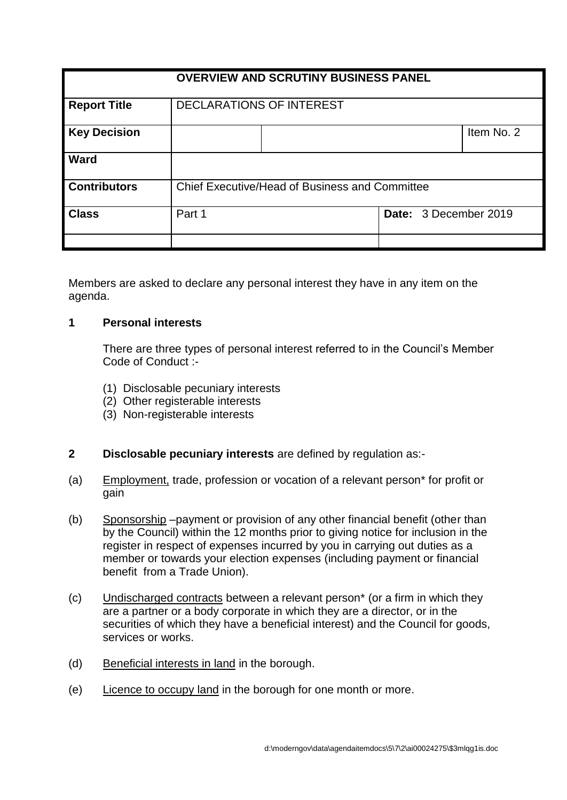| <b>OVERVIEW AND SCRUTINY BUSINESS PANEL</b> |                                                |  |  |                       |            |
|---------------------------------------------|------------------------------------------------|--|--|-----------------------|------------|
| <b>Report Title</b>                         | <b>DECLARATIONS OF INTEREST</b>                |  |  |                       |            |
| <b>Key Decision</b>                         |                                                |  |  |                       | Item No. 2 |
| Ward                                        |                                                |  |  |                       |            |
| <b>Contributors</b>                         | Chief Executive/Head of Business and Committee |  |  |                       |            |
| <b>Class</b>                                | Part 1                                         |  |  | Date: 3 December 2019 |            |
|                                             |                                                |  |  |                       |            |

Members are asked to declare any personal interest they have in any item on the agenda.

### **1 Personal interests**

There are three types of personal interest referred to in the Council's Member Code of Conduct :-

- (1) Disclosable pecuniary interests
- (2) Other registerable interests
- (3) Non-registerable interests

# **2 Disclosable pecuniary interests** are defined by regulation as:-

- (a) Employment, trade, profession or vocation of a relevant person\* for profit or gain
- (b) Sponsorship –payment or provision of any other financial benefit (other than by the Council) within the 12 months prior to giving notice for inclusion in the register in respect of expenses incurred by you in carrying out duties as a member or towards your election expenses (including payment or financial benefit from a Trade Union).
- (c) Undischarged contracts between a relevant person\* (or a firm in which they are a partner or a body corporate in which they are a director, or in the securities of which they have a beneficial interest) and the Council for goods, services or works.
- (d) Beneficial interests in land in the borough.
- (e) Licence to occupy land in the borough for one month or more.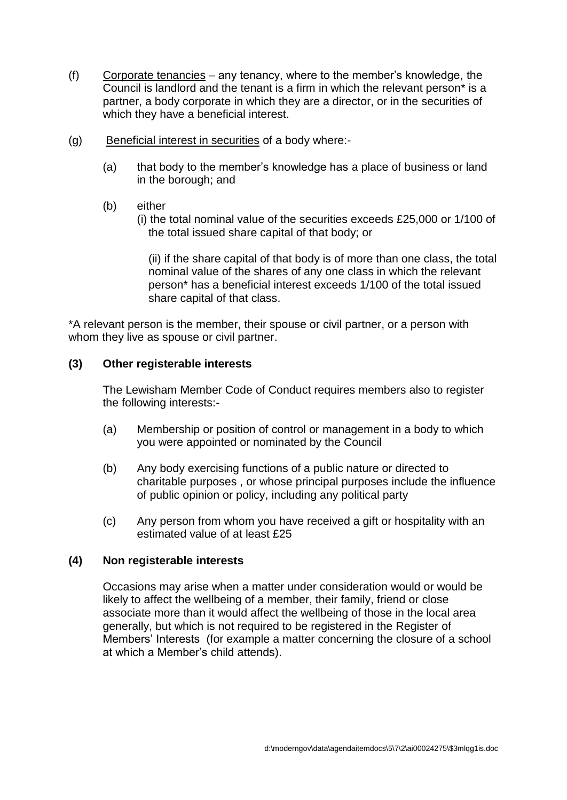- (f) Corporate tenancies any tenancy, where to the member's knowledge, the Council is landlord and the tenant is a firm in which the relevant person\* is a partner, a body corporate in which they are a director, or in the securities of which they have a beneficial interest.
- (g) Beneficial interest in securities of a body where:-
	- (a) that body to the member's knowledge has a place of business or land in the borough; and
	- (b) either
		- (i) the total nominal value of the securities exceeds £25,000 or 1/100 of the total issued share capital of that body; or

(ii) if the share capital of that body is of more than one class, the total nominal value of the shares of any one class in which the relevant person\* has a beneficial interest exceeds 1/100 of the total issued share capital of that class.

\*A relevant person is the member, their spouse or civil partner, or a person with whom they live as spouse or civil partner.

### **(3) Other registerable interests**

The Lewisham Member Code of Conduct requires members also to register the following interests:-

- (a) Membership or position of control or management in a body to which you were appointed or nominated by the Council
- (b) Any body exercising functions of a public nature or directed to charitable purposes , or whose principal purposes include the influence of public opinion or policy, including any political party
- (c) Any person from whom you have received a gift or hospitality with an estimated value of at least £25

#### **(4) Non registerable interests**

Occasions may arise when a matter under consideration would or would be likely to affect the wellbeing of a member, their family, friend or close associate more than it would affect the wellbeing of those in the local area generally, but which is not required to be registered in the Register of Members' Interests (for example a matter concerning the closure of a school at which a Member's child attends).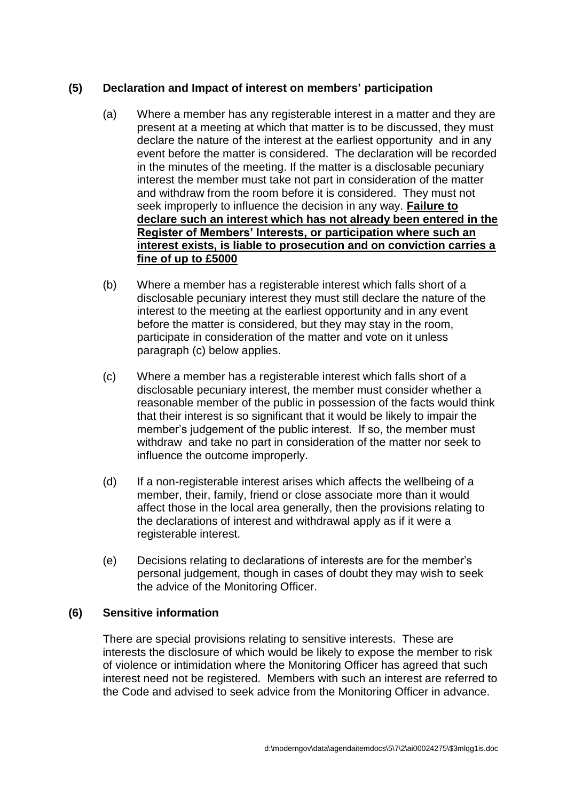# **(5) Declaration and Impact of interest on members' participation**

- (a) Where a member has any registerable interest in a matter and they are present at a meeting at which that matter is to be discussed, they must declare the nature of the interest at the earliest opportunity and in any event before the matter is considered. The declaration will be recorded in the minutes of the meeting. If the matter is a disclosable pecuniary interest the member must take not part in consideration of the matter and withdraw from the room before it is considered. They must not seek improperly to influence the decision in any way. **Failure to declare such an interest which has not already been entered in the Register of Members' Interests, or participation where such an interest exists, is liable to prosecution and on conviction carries a fine of up to £5000**
- (b) Where a member has a registerable interest which falls short of a disclosable pecuniary interest they must still declare the nature of the interest to the meeting at the earliest opportunity and in any event before the matter is considered, but they may stay in the room, participate in consideration of the matter and vote on it unless paragraph (c) below applies.
- (c) Where a member has a registerable interest which falls short of a disclosable pecuniary interest, the member must consider whether a reasonable member of the public in possession of the facts would think that their interest is so significant that it would be likely to impair the member's judgement of the public interest. If so, the member must withdraw and take no part in consideration of the matter nor seek to influence the outcome improperly.
- (d) If a non-registerable interest arises which affects the wellbeing of a member, their, family, friend or close associate more than it would affect those in the local area generally, then the provisions relating to the declarations of interest and withdrawal apply as if it were a registerable interest.
- (e) Decisions relating to declarations of interests are for the member's personal judgement, though in cases of doubt they may wish to seek the advice of the Monitoring Officer.

### **(6) Sensitive information**

There are special provisions relating to sensitive interests. These are interests the disclosure of which would be likely to expose the member to risk of violence or intimidation where the Monitoring Officer has agreed that such interest need not be registered. Members with such an interest are referred to the Code and advised to seek advice from the Monitoring Officer in advance.